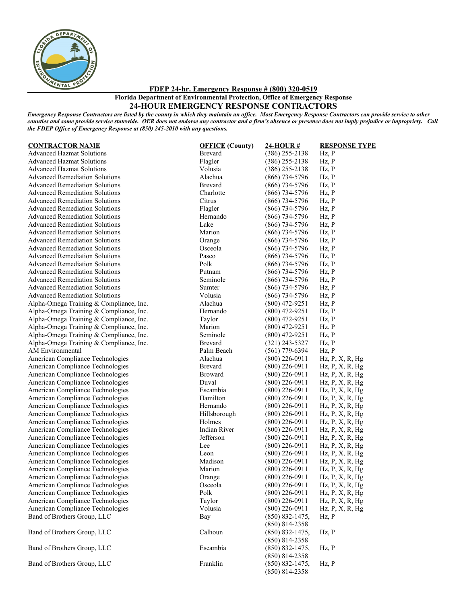

**FDEP 24-hr. Emergency Response # (800) 320-0519**

**Florida Department of Environmental Protection, Office of Emergency Response**

## **24-HOUR EMERGENCY RESPONSE CONTRACTORS**

*Emergency Response Contractors are listed by the county in which they maintain an office. Most Emergency Response Contractors can provide service to other counties and some provide service statewide. OER does not endorse any contractor and a firm's absence or presence does not imply prejudice or impropriety. Call the FDEP Office of Emergency Response at (850) 245-2010 with any questions.*

| <b>CONTRACTOR NAME</b>                  | <b>OFFICE</b> (County) | 24-HOUR#            | <b>RESPONSE T</b>             |
|-----------------------------------------|------------------------|---------------------|-------------------------------|
| <b>Advanced Hazmat Solutions</b>        | Brevard                | $(386)$ 255-2138    | Hz, P                         |
| <b>Advanced Hazmat Solutions</b>        | Flagler                | $(386)$ 255-2138    | Hz, P                         |
| <b>Advanced Hazmat Solutions</b>        | Volusia                | $(386)$ 255-2138    | Hz, P                         |
| <b>Advanced Remediation Solutions</b>   | Alachua                | $(866)$ 734-5796    | Hz, P                         |
| <b>Advanced Remediation Solutions</b>   | Brevard                | $(866)$ 734-5796    | Hz, P                         |
| <b>Advanced Remediation Solutions</b>   | Charlotte              | $(866)$ 734-5796    | Hz, P                         |
| <b>Advanced Remediation Solutions</b>   | Citrus                 | $(866)$ 734-5796    | Hz, P                         |
| <b>Advanced Remediation Solutions</b>   | Flagler                | $(866)$ 734-5796    | Hz, P                         |
| <b>Advanced Remediation Solutions</b>   | Hernando               | $(866)$ 734-5796    | Hz, P                         |
| <b>Advanced Remediation Solutions</b>   | Lake                   | $(866)$ 734-5796    | Hz, P                         |
| <b>Advanced Remediation Solutions</b>   | Marion                 | $(866)$ 734-5796    | Hz, P                         |
| <b>Advanced Remediation Solutions</b>   | Orange                 | $(866)$ 734-5796    | Hz, P                         |
| <b>Advanced Remediation Solutions</b>   | Osceola                | $(866)$ 734-5796    | Hz, P                         |
| <b>Advanced Remediation Solutions</b>   | Pasco                  | $(866)$ 734-5796    | Hz, P                         |
| <b>Advanced Remediation Solutions</b>   | Polk                   | $(866)$ 734-5796    | Hz, P                         |
| <b>Advanced Remediation Solutions</b>   | Putnam                 | $(866)$ 734-5796    | Hz, P                         |
| <b>Advanced Remediation Solutions</b>   | Seminole               | $(866)$ 734-5796    | Hz, P                         |
| <b>Advanced Remediation Solutions</b>   | Sumter                 | $(866)$ 734-5796    | Hz, P                         |
| <b>Advanced Remediation Solutions</b>   | Volusia                | $(866)$ 734-5796    | Hz, P                         |
| Alpha-Omega Training & Compliance, Inc. | Alachua                | $(800)$ 472-9251    | Hz, P                         |
| Alpha-Omega Training & Compliance, Inc. | Hernando               | $(800)$ 472-9251    | Hz, P                         |
| Alpha-Omega Training & Compliance, Inc. | Taylor                 | $(800)$ 472-9251    | Hz, P                         |
| Alpha-Omega Training & Compliance, Inc. | Marion                 | $(800)$ 472-9251    | Hz. P                         |
| Alpha-Omega Training & Compliance, Inc. | Seminole               | $(800)$ 472-9251    | Hz, P                         |
| Alpha-Omega Training & Compliance, Inc. | <b>Brevard</b>         | $(321)$ 243-5327    | Hz, P                         |
| AM Environmental                        | Palm Beach             | $(561)$ 779-6394    | Hz, P                         |
| American Compliance Technologies        | Alachua                | $(800)$ 226-0911    | $Hz$ , $P$ , $X$ , $R$ , $Hg$ |
| American Compliance Technologies        | Brevard                | $(800)$ 226-0911    | $Hz$ , $P$ , $X$ , $R$ , $Hg$ |
| American Compliance Technologies        | <b>Broward</b>         | $(800)$ 226-0911    | $Hz$ , $P$ , $X$ , $R$ , $Hg$ |
| American Compliance Technologies        | Duval                  | $(800)$ 226-0911    | $Hz$ , $P$ , $X$ , $R$ , $Hg$ |
| American Compliance Technologies        | Escambia               | $(800)$ 226-0911    | $Hz$ , $P$ , $X$ , $R$ , $Hg$ |
| American Compliance Technologies        | Hamilton               | $(800)$ 226-0911    | Hz, P, X, R, Hg               |
| American Compliance Technologies        | Hernando               | $(800)$ 226-0911    | $Hz$ , $P$ , $X$ , $R$ , $Hg$ |
| American Compliance Technologies        | Hillsborough           | $(800)$ 226-0911    | $Hz$ , $P$ , $X$ , $R$ , $Hg$ |
| American Compliance Technologies        | Holmes                 | $(800)$ 226-0911    | $Hz$ , $P$ , $X$ , $R$ , $Hg$ |
| American Compliance Technologies        | Indian River           | $(800)$ 226-0911    | $Hz$ , $P$ , $X$ , $R$ , $Hg$ |
| American Compliance Technologies        | Jefferson              | $(800)$ 226-0911    | $Hz$ , $P$ , $X$ , $R$ , $Hg$ |
| American Compliance Technologies        | Lee                    | $(800)$ 226-0911    | $Hz$ , $P$ , $X$ , $R$ , $Hg$ |
| American Compliance Technologies        | Leon                   | $(800)$ 226-0911    | $Hz$ , $P$ , $X$ , $R$ , $Hg$ |
| American Compliance Technologies        | Madison                | $(800)$ 226-0911    | $Hz$ , $P$ , $X$ , $R$ , $Hg$ |
| American Compliance Technologies        | Marion                 | $(800)$ 226-0911    | Hz, P, X, R, Hg               |
| American Compliance Technologies        | Orange                 | $(800)$ 226-0911    | $Hz$ , $P$ , $X$ , $R$ , $Hg$ |
| American Compliance Technologies        | Osceola                | $(800)$ 226-0911    | Hz, P, X, R, Hg               |
| American Compliance Technologies        | Polk                   | $(800)$ 226-0911    | $Hz$ , $P$ , $X$ , $R$ , $Hg$ |
| American Compliance Technologies        | Taylor                 | $(800)$ 226-0911    | $Hz$ , $P$ , $X$ , $R$ , $Hg$ |
| American Compliance Technologies        | Volusia                | $(800)$ 226-0911    | Hz. P, X, R, Hg               |
| Band of Brothers Group, LLC             | Bay                    | $(850) 832 - 1475,$ | Hz, P                         |
|                                         |                        | $(850)$ 814-2358    |                               |
| Band of Brothers Group, LLC             | Calhoun                | $(850) 832 - 1475,$ | Hz, P                         |
|                                         |                        | $(850)$ 814-2358    |                               |
| Band of Brothers Group, LLC             | Escambia               | $(850) 832 - 1475,$ | Hz, P                         |
|                                         |                        | $(850)$ 814-2358    |                               |
| Band of Brothers Group, LLC             | Franklin               | (850) 832-1475,     | Hz, P                         |
|                                         |                        |                     |                               |

| <b>CONTRACTOR NAME</b>                  | <b>OFFICE</b> (County) | 24-HOUR#            | <b>RESPONSE TYPE</b>          |
|-----------------------------------------|------------------------|---------------------|-------------------------------|
| <b>Advanced Hazmat Solutions</b>        | Brevard                | $(386)$ 255-2138    | $Hz$ , $P$                    |
| <b>Advanced Hazmat Solutions</b>        | Flagler                | $(386)$ 255-2138    | Hz, P                         |
| <b>Advanced Hazmat Solutions</b>        | Volusia                | $(386)$ 255-2138    | $Hz$ , $P$                    |
| <b>Advanced Remediation Solutions</b>   | Alachua                | $(866)$ 734-5796    | Hz, P                         |
| <b>Advanced Remediation Solutions</b>   | <b>Brevard</b>         | $(866)$ 734-5796    | Hz, P                         |
| <b>Advanced Remediation Solutions</b>   | Charlotte              | $(866)$ 734-5796    | Hz, P                         |
| <b>Advanced Remediation Solutions</b>   | Citrus                 | $(866)$ 734-5796    | Hz, P                         |
| <b>Advanced Remediation Solutions</b>   | Flagler                | $(866)$ 734-5796    | Hz, P                         |
| <b>Advanced Remediation Solutions</b>   | Hernando               | $(866)$ 734-5796    | Hz, P                         |
| <b>Advanced Remediation Solutions</b>   | Lake                   | $(866)$ 734-5796    | $Hz$ , $P$                    |
| <b>Advanced Remediation Solutions</b>   | Marion                 | $(866)$ 734-5796    | Hz, P                         |
| <b>Advanced Remediation Solutions</b>   | Orange                 | $(866)$ 734-5796    | Hz, P                         |
| <b>Advanced Remediation Solutions</b>   | Osceola                | $(866)$ 734-5796    | Hz, P                         |
| <b>Advanced Remediation Solutions</b>   | Pasco                  | $(866)$ 734-5796    | Hz, P                         |
| <b>Advanced Remediation Solutions</b>   | Polk                   | $(866)$ 734-5796    | Hz, P                         |
| <b>Advanced Remediation Solutions</b>   | Putnam                 | $(866)$ 734-5796    | Hz, P                         |
| <b>Advanced Remediation Solutions</b>   | Seminole               | $(866)$ 734-5796    | Hz, P                         |
| <b>Advanced Remediation Solutions</b>   | Sumter                 | $(866)$ 734-5796    | Hz, P                         |
| <b>Advanced Remediation Solutions</b>   | Volusia                | $(866)$ 734-5796    | Hz, P                         |
| Alpha-Omega Training & Compliance, Inc. | Alachua                | $(800)$ 472-9251    | Hz, P                         |
| Alpha-Omega Training & Compliance, Inc. | Hernando               | $(800)$ 472-9251    | Hz, P                         |
| Alpha-Omega Training & Compliance, Inc. | Taylor                 | $(800)$ 472-9251    | Hz, P                         |
| Alpha-Omega Training & Compliance, Inc. | Marion                 | $(800)$ 472-9251    | Hz. P                         |
| Alpha-Omega Training & Compliance, Inc. | Seminole               | $(800)$ 472-9251    | Hz, P                         |
| Alpha-Omega Training & Compliance, Inc. | Brevard                | $(321)$ 243-5327    | $Hz$ , $P$                    |
| AM Environmental                        | Palm Beach             | $(561)$ 779-6394    | Hz, P                         |
| American Compliance Technologies        | Alachua                | $(800)$ 226-0911    | Hz, P, X, R, Hg               |
| American Compliance Technologies        | <b>Brevard</b>         | $(800)$ 226-0911    | $Hz$ , P, X, R, Hg            |
| American Compliance Technologies        | Broward                | $(800)$ 226-0911    | Hz, P, X, R, Hg               |
| American Compliance Technologies        | Duval                  | $(800)$ 226-0911    | $Hz$ , $P$ , $X$ , $R$ , $Hg$ |
| American Compliance Technologies        | Escambia               | $(800)$ 226-0911    | $Hz$ , $P$ , $X$ , $R$ , $Hg$ |
| American Compliance Technologies        | Hamilton               | $(800)$ 226-0911    | Hz, P, X, R, Hg               |
| American Compliance Technologies        | Hernando               | $(800)$ 226-0911    | $Hz$ , $P$ , $X$ , $R$ , $Hg$ |
| American Compliance Technologies        | Hillsborough           | $(800)$ 226-0911    | Hz, P, X, R, Hg               |
| American Compliance Technologies        | Holmes                 | $(800)$ 226-0911    | Hz, P, X, R, Hg               |
| American Compliance Technologies        | Indian River           | $(800)$ 226-0911    | $Hz$ , $P$ , $X$ , $R$ , $Hg$ |
| American Compliance Technologies        | Jefferson              | $(800)$ 226-0911    | $Hz$ , $P$ , $X$ , $R$ , $Hg$ |
| American Compliance Technologies        | Lee                    | $(800)$ 226-0911    | $Hz$ , $P$ , $X$ , $R$ , $Hg$ |
| American Compliance Technologies        | Leon                   | $(800)$ 226-0911    | $Hz$ , $P$ , $X$ , $R$ , $Hg$ |
| American Compliance Technologies        | Madison                | $(800)$ 226-0911    | Hz, P, X, R, Hg               |
| American Compliance Technologies        | Marion                 | $(800)$ 226-0911    | $Hz$ , $P$ , $X$ , $R$ , $Hg$ |
| American Compliance Technologies        | Orange                 | $(800)$ 226-0911    | $Hz$ , P, X, R, Hg            |
| American Compliance Technologies        | Osceola                | $(800)$ 226-0911    | Hz, P, X, R, Hg               |
| American Compliance Technologies        | Polk                   | $(800)$ 226-0911    | Hz, P, X, R, Hg               |
| American Compliance Technologies        | Taylor                 | $(800)$ 226-0911    | Hz, P, X, R, Hg               |
| American Compliance Technologies        | Volusia                | $(800)$ 226-0911    | Hz. P, X, R, Hg               |
| Band of Brothers Group, LLC             | Bay                    | $(850) 832 - 1475,$ | $Hz$ , $P$                    |
|                                         |                        | $(850)$ 814-2358    |                               |
| Band of Brothers Group, LLC             | Calhoun                | (850) 832-1475,     | Hz, P                         |
|                                         |                        | $(850)$ 814-2358    |                               |
| Band of Brothers Group, LLC             | Escambia               | $(850) 832 - 1475,$ | Hz, P                         |
|                                         |                        | $(850) 814 - 2358$  |                               |
| Band of Brothers Group, LLC             | Franklin               | $(850) 832 - 1475,$ | Hz, P                         |

(850) 814-2358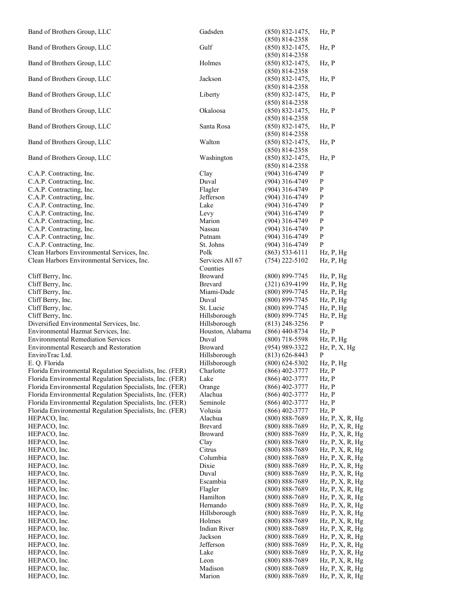| Band of Brothers Group, LLC                                                                                          | Gadsden               | $(850) 832 - 1475,$                      | Hz, P                                            |
|----------------------------------------------------------------------------------------------------------------------|-----------------------|------------------------------------------|--------------------------------------------------|
|                                                                                                                      |                       | $(850)$ 814-2358                         |                                                  |
| Band of Brothers Group, LLC                                                                                          | Gulf                  | $(850) 832 - 1475,$                      | Hz, P                                            |
|                                                                                                                      |                       | $(850)$ 814-2358                         |                                                  |
| Band of Brothers Group, LLC                                                                                          | Holmes                | $(850) 832 - 1475,$<br>$(850)$ 814-2358  | Hz, P                                            |
| Band of Brothers Group, LLC                                                                                          | Jackson               | $(850) 832 - 1475,$                      | Hz, P                                            |
|                                                                                                                      |                       | $(850)$ 814-2358                         |                                                  |
| Band of Brothers Group, LLC                                                                                          | Liberty               | $(850) 832 - 1475,$                      | Hz, P                                            |
|                                                                                                                      |                       | $(850)$ 814-2358                         |                                                  |
| Band of Brothers Group, LLC                                                                                          | Okaloosa              | $(850) 832 - 1475,$                      | $Hz$ , $P$                                       |
|                                                                                                                      |                       | $(850)$ 814-2358                         |                                                  |
| Band of Brothers Group, LLC                                                                                          | Santa Rosa            | $(850) 832 - 1475$ ,                     | Hz, P                                            |
|                                                                                                                      |                       | $(850)$ 814-2358                         |                                                  |
| Band of Brothers Group, LLC                                                                                          | Walton                | $(850) 832 - 1475,$                      | Hz, P                                            |
|                                                                                                                      |                       | $(850)$ 814-2358                         |                                                  |
| Band of Brothers Group, LLC                                                                                          | Washington            | $(850) 832 - 1475,$                      | Hz, P                                            |
|                                                                                                                      |                       | $(850)$ 814-2358                         |                                                  |
| C.A.P. Contracting, Inc.<br>C.A.P. Contracting, Inc.                                                                 | Clay<br>Duval         | $(904)$ 316-4749<br>$(904)$ 316-4749     | $\mathbf P$<br>P                                 |
| C.A.P. Contracting, Inc.                                                                                             | Flagler               | $(904)$ 316-4749                         | P                                                |
| C.A.P. Contracting, Inc.                                                                                             | Jefferson             | $(904)$ 316-4749                         | $\mathbf{P}$                                     |
| C.A.P. Contracting, Inc.                                                                                             | Lake                  | $(904)$ 316-4749                         | P                                                |
| C.A.P. Contracting, Inc.                                                                                             | Levy                  | (904) 316-4749                           | P                                                |
| C.A.P. Contracting, Inc.                                                                                             | Marion                | $(904)$ 316-4749                         | P                                                |
| C.A.P. Contracting, Inc.                                                                                             | Nassau                | $(904)$ 316-4749                         | $\mathbf{P}$                                     |
| C.A.P. Contracting, Inc.                                                                                             | Putnam                | $(904)$ 316-4749                         | P                                                |
| C.A.P. Contracting, Inc.                                                                                             | St. Johns             | $(904)$ 316-4749                         | P                                                |
| Clean Harbors Environmental Services, Inc.                                                                           | Polk                  | $(863)$ 533-6111                         | $Hz$ , $P$ , $Hg$                                |
| Clean Harbors Environmental Services, Inc.                                                                           | Services All 67       | $(754)$ 222-5102                         | $Hz$ , $P$ , $Hg$                                |
|                                                                                                                      | Counties              |                                          |                                                  |
| Cliff Berry, Inc.                                                                                                    | <b>Broward</b>        | $(800)$ 899-7745                         | $Hz$ , $P$ , $Hg$                                |
| Cliff Berry, Inc.                                                                                                    | Brevard<br>Miami-Dade | $(321)$ 639-4199                         | $Hz$ , $P$ , $Hg$                                |
| Cliff Berry, Inc.<br>Cliff Berry, Inc.                                                                               | Duval                 | $(800)$ 899-7745<br>$(800)$ 899-7745     | $Hz$ , $P$ , $Hg$<br>$Hz$ , $P$ , $Hg$           |
| Cliff Berry, Inc.                                                                                                    | St. Lucie             | $(800)$ 899-7745                         | $Hz$ , $P$ , $Hg$                                |
| Cliff Berry, Inc.                                                                                                    | Hillsborough          | $(800)$ 899-7745                         | $Hz$ , $P$ , $Hg$                                |
| Diversified Environmental Services, Inc.                                                                             | Hillsborough          | $(813)$ 248-3256                         | P                                                |
| Environmental Hazmat Services, Inc.                                                                                  | Houston, Alabama      | $(866)$ 440-8734                         | $Hz$ , $P$                                       |
| <b>Environmental Remediation Services</b>                                                                            | Duval                 | $(800)$ 718-5598                         | $Hz$ , $P$ , $Hg$                                |
| <b>Environmental Research and Restoration</b>                                                                        | <b>Broward</b>        | $(954)$ 989-3322                         | $Hz$ , $P$ , $X$ , $Hg$                          |
| EnviroTrac Ltd.                                                                                                      | Hillsborough          | $(813) 626 - 8443$                       | P                                                |
| E. Q. Florida                                                                                                        | Hillsborough          | $(800) 624 - 5302$                       | $Hz$ , $P$ , $Hg$                                |
| Florida Environmental Regulation Specialists, Inc. (FER)                                                             | Charlotte             | $(866)$ 402-3777                         | Hz, P                                            |
| Florida Environmental Regulation Specialists, Inc. (FER)                                                             | Lake                  | $(866)$ 402-3777                         | Hz, P                                            |
| Florida Environmental Regulation Specialists, Inc. (FER)<br>Florida Environmental Regulation Specialists, Inc. (FER) | Orange<br>Alachua     | $(866)$ 402-3777<br>(866) 402-3777       | Hz, P<br>Hz, P                                   |
| Florida Environmental Regulation Specialists, Inc. (FER)                                                             | Seminole              | $(866)$ 402-3777                         | Hz, P                                            |
| Florida Environmental Regulation Specialists, Inc. (FER)                                                             | Volusia               | $(866)$ 402-3777                         | Hz, P                                            |
| HEPACO, Inc.                                                                                                         | Alachua               | $(800) 888 - 7689$                       | $Hz$ , $P$ , $X$ , $R$ , $Hg$                    |
| HEPACO, Inc.                                                                                                         | Brevard               | $(800) 888 - 7689$                       | $Hz$ , $P$ , $X$ , $R$ , $Hg$                    |
| HEPACO, Inc.                                                                                                         | Broward               | $(800) 888 - 7689$                       | $Hz$ , $P$ , $X$ , $R$ , $Hg$                    |
| HEPACO, Inc.                                                                                                         | Clay                  | $(800) 888 - 7689$                       | $Hz$ , $P$ , $X$ , $R$ , $Hg$                    |
| HEPACO, Inc.                                                                                                         | Citrus                | $(800) 888 - 7689$                       | Hz, P, X, R, Hg                                  |
| HEPACO, Inc.                                                                                                         | Columbia              | $(800) 888 - 7689$                       | Hz, P, X, R, Hg                                  |
| HEPACO, Inc.                                                                                                         | Dixie                 | $(800) 888 - 7689$                       | $Hz$ , $P$ , $X$ , $R$ , $Hg$                    |
| HEPACO, Inc.                                                                                                         | Duval                 | $(800) 888 - 7689$                       | Hz, P, X, R, Hg                                  |
| HEPACO, Inc.                                                                                                         | Escambia<br>Flagler   | $(800) 888 - 7689$                       | $Hz$ , $P$ , $X$ , $R$ , $Hg$                    |
| HEPACO, Inc.<br>HEPACO, Inc.                                                                                         | Hamilton              | $(800) 888 - 7689$<br>$(800) 888 - 7689$ | Hz, P, X, R, Hg<br>$Hz$ , $P$ , $X$ , $R$ , $Hg$ |
| HEPACO, Inc.                                                                                                         | Hernando              | $(800) 888 - 7689$                       | $Hz$ , $P$ , $X$ , $R$ , $Hg$                    |
| HEPACO, Inc.                                                                                                         | Hillsborough          | $(800) 888 - 7689$                       | $Hz$ , $P$ , $X$ , $R$ , $Hg$                    |
| HEPACO, Inc.                                                                                                         | Holmes                | $(800) 888 - 7689$                       | $Hz$ , $P$ , $X$ , $R$ , $Hg$                    |
| HEPACO, Inc.                                                                                                         | Indian River          | $(800) 888 - 7689$                       | $Hz$ , $P$ , $X$ , $R$ , $Hg$                    |
| HEPACO, Inc.                                                                                                         | Jackson               | $(800) 888 - 7689$                       | $Hz$ , $P$ , $X$ , $R$ , $Hg$                    |
| HEPACO, Inc.                                                                                                         | Jefferson             | $(800) 888 - 7689$                       | $Hz$ , $P$ , $X$ , $R$ , $Hg$                    |
| HEPACO, Inc.                                                                                                         | Lake                  | $(800) 888 - 7689$                       | $Hz$ , $P$ , $X$ , $R$ , $Hg$                    |
| HEPACO, Inc.                                                                                                         | Leon                  | $(800) 888 - 7689$                       | $Hz$ , $P$ , $X$ , $R$ , $Hg$                    |
| HEPACO, Inc.                                                                                                         | Madison               | $(800) 888 - 7689$                       | $Hz$ , $P$ , $X$ , $R$ , $Hg$                    |
| HEPACO, Inc.                                                                                                         | Marion                | $(800) 888 - 7689$                       | Hz, P, X, R, Hg                                  |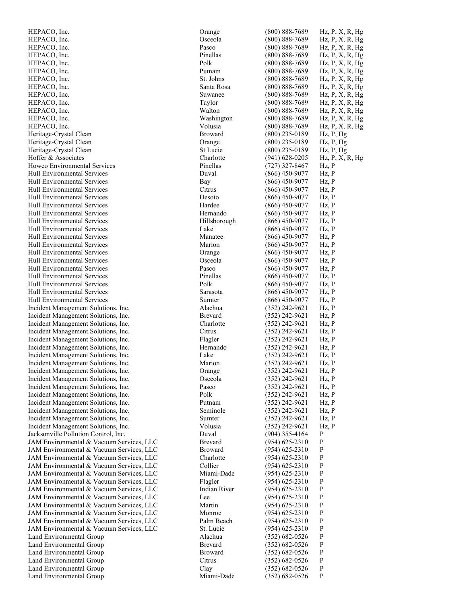HEPACO, Inc. Orange (800) 888 HEPACO, Inc. HEPACO, Inc. HEPACO, Inc. HEPACO, Inc. HEPACO, Inc. HEPACO, Inc. HEPACO, Inc. HEPACO, Inc. HEPACO, Inc. HEPACO, Inc. HEPACO, Inc. HEPACO, Inc. Heritage -Crystal Clea Heritage -Crystal Clean Orange (800) 23 Heritage -Crystal Clean St Lucie (800) 235 Hoffer & Associates Howco Environmental Services Hull Environmental Services Hull Environmental Services Hull Environmental Services Hull Environmental Services Hull Environmental Services Hull Environmental Services Hull Environmental Services Hull Environmental Services Hull Environmental Services Hull Environmental Services Hull Environmental Services Hull Environmental Services Hull Environmental Services Hull Environmental Services Hull Environmental Services Hull Environmental Services Hull Environmental Services Incident Management Solutions, Inc. Incident Management Solutions, Inc. Incident Management Solutions, Inc. Incident Management Solutions, Inc. Incident Management Solutions, Inc. Incident Management Solutions, Inc. Incident Management Solutions, Inc. Incident Management Solutions, Inc. Incident Management Solutions, Inc. Incident Management Solutions, Inc. Incident Management Solutions, Inc. Incident Management Solutions, Inc. Incident Management Solutions, Inc. Incident Management Solutions, Inc. Incident Management Solutions, Inc. Incident Management Solutions, Inc. Jacksonville Pollution Control, Inc. JAM Environmental & Vacuum Services, LLC JAM Environmental & Vacuum Services, LLC JAM Environmental & Vacuum Services, LLC JAM Environmental & Vacuum Services, LLC JAM Environmental & Vacuum Services, LLC JAM Environmental & Vacuum Services, LLC JAM Environmental & Vacuum Services, LLC JAM Environmental & Vacuum Services, LLC JAM Environmental & Vacuum Services, LLC JAM Environmental & Vacuum Services, LLC JAM Environmental & Vacuum Services, LLC JAM Environmental & Vacuum Services, LLC Land Environmental Group Land Environmental Group Land Environmental Group Land Environmental Group Land Environmental Group Land Environmental Group

|                        | Orange              | $(800) 888 - 7689$ | $Hz$ , P, X, R, Hg |
|------------------------|---------------------|--------------------|--------------------|
|                        | Osceola             | $(800) 888 - 7689$ | Hz, P, X, R, Hg    |
|                        | Pasco               | $(800) 888 - 7689$ | $Hz$ , P, X, R, Hg |
|                        | Pinellas            | $(800) 888 - 7689$ | $Hz$ , P, X, R, Hg |
|                        |                     |                    |                    |
|                        | Polk                | $(800) 888 - 7689$ | $Hz$ , P, X, R, Hg |
|                        | Putnam              | $(800) 888 - 7689$ | $Hz$ , P, X, R, Hg |
|                        | St. Johns           | $(800) 888 - 7689$ | Hz, P, X, R, Hg    |
|                        | Santa Rosa          | $(800) 888 - 7689$ | Hz, P, X, R, Hg    |
|                        | Suwanee             | $(800) 888 - 7689$ | $Hz$ , P, X, R, Hg |
|                        | Taylor              | $(800) 888 - 7689$ | $Hz$ , P, X, R, Hg |
|                        | Walton              | $(800) 888 - 7689$ | $Hz$ , P, X, R, Hg |
|                        | Washington          | $(800) 888 - 7689$ | Hz, P, X, R, Hg    |
|                        |                     |                    |                    |
|                        | Volusia             | $(800) 888 - 7689$ | $Hz$ , P, X, R, Hg |
| n                      | <b>Broward</b>      | $(800)$ 235-0189   | $Hz$ , $P$ , $Hg$  |
| n                      | Orange              | $(800)$ 235-0189   | $Hz$ , $P$ , $Hg$  |
| n                      | St Lucie            | $(800)$ 235-0189   | Hz, P, Hg          |
|                        | Charlotte           | $(941) 628 - 0205$ | $Hz$ , P, X, R, Hg |
| l Services             | Pinellas            | $(727)$ 327-8467   | Hz, P              |
| ervices                | Duval               | $(866)$ 450-9077   | Hz, P              |
| ervices                | Bay                 | $(866)$ 450-9077   | Hz, P              |
|                        |                     |                    |                    |
| ervices                | Citrus              | $(866)$ 450-9077   | Hz, P              |
| ervices                | Desoto              | $(866)$ 450-9077   | $Hz$ , $P$         |
| ervices                | Hardee              | $(866)$ 450-9077   | Hz, P              |
| ervices                | Hernando            | $(866)$ 450-9077   | Hz, P              |
| ervices                | Hillsborough        | $(866)$ 450-9077   | Hz, P              |
| ervices                | Lake                | (866) 450-9077     | Hz, P              |
| ervices                | Manatee             | $(866)$ 450-9077   | Hz, P              |
| ervices                | Marion              | $(866)$ 450-9077   | $Hz$ , $P$         |
|                        |                     |                    |                    |
| ervices                | Orange              | $(866)$ 450-9077   | Hz, P              |
| ervices                | Osceola             | $(866)$ 450-9077   | Hz, P              |
| ervices                | Pasco               | $(866)$ 450-9077   | Hz, P              |
| ervices                | Pinellas            | $(866)$ 450-9077   | Hz, P              |
| ervices                | Polk                | $(866)$ 450-9077   | Hz, P              |
| ervices                | Sarasota            | $(866)$ 450-9077   | Hz, P              |
| ervices                | Sumter              | $(866)$ 450-9077   | Hz, P              |
| Solutions, Inc.        | Alachua             | $(352)$ 242-9621   | Hz, P              |
| Solutions, Inc.        | Brevard             | $(352)$ 242-9621   | Hz, P              |
| Solutions, Inc.        | Charlotte           | (352) 242-9621     | $Hz$ , $P$         |
| Solutions, Inc.        | Citrus              | $(352)$ 242-9621   | Hz, P              |
| Solutions, Inc.        | Flagler             | $(352)$ 242-9621   | Hz, P              |
| Solutions, Inc.        | Hernando            | $(352)$ 242-9621   | Hz, P              |
|                        |                     |                    |                    |
| Solutions, Inc.        | Lake                | (352) 242-9621     | Hz, P              |
| Solutions, Inc.        | Marion              | $(352)$ 242-9621   | Hz, P              |
| Solutions, Inc.        | Orange              | (352) 242-9621     | Hz, P              |
| Solutions, Inc.        | Osceola             | $(352)$ 242-9621   | $Hz$ , $P$         |
| Solutions, Inc.        | Pasco               | $(352)$ 242-9621   | Hz, P              |
| Solutions, Inc.        | Polk                | $(352)$ 242-9621   | Hz, P              |
| Solutions, Inc.        | Putnam              | $(352)$ 242-9621   | Hz, P              |
| Solutions, Inc.        | Seminole            | $(352)$ 242-9621   | Hz, P              |
| Solutions, Inc.        | Sumter              | $(352)$ 242-9621   | Hz, P              |
| Solutions, Inc.        | Volusia             | $(352)$ 242-9621   | Hz, P              |
| Control, Inc.          | Duval               | $(904)$ 355-4164   | P                  |
| & Vacuum Services, LLC | Brevard             | $(954) 625 - 2310$ | P                  |
| & Vacuum Services, LLC | <b>Broward</b>      | $(954) 625 - 2310$ | P                  |
|                        |                     |                    |                    |
| & Vacuum Services, LLC | Charlotte           | $(954)$ 625-2310   | P                  |
| & Vacuum Services, LLC | Collier             | $(954) 625 - 2310$ | P                  |
| & Vacuum Services, LLC | Miami-Dade          | $(954) 625 - 2310$ | P                  |
| & Vacuum Services, LLC | Flagler             | $(954) 625 - 2310$ | P                  |
| & Vacuum Services, LLC | <b>Indian River</b> | $(954)$ 625-2310   | P                  |
| & Vacuum Services, LLC | Lee                 | $(954) 625 - 2310$ | P                  |
| & Vacuum Services, LLC | Martin              | $(954)$ 625-2310   | P                  |
| & Vacuum Services, LLC | Monroe              | $(954)$ 625-2310   | P                  |
| & Vacuum Services, LLC | Palm Beach          | $(954)$ 625-2310   | P                  |
| & Vacuum Services, LLC | St. Lucie           | $(954) 625 - 2310$ | P                  |
| Group                  | Alachua             | $(352) 682 - 0526$ | P                  |
| Group                  | Brevard             | $(352)$ 682-0526   | P                  |
|                        | <b>Broward</b>      |                    | P                  |
| Group                  |                     | $(352) 682 - 0526$ |                    |
| Group                  | Citrus              | $(352) 682 - 0526$ | $\mathbf{P}$       |
| Group                  | Clay                | $(352) 682 - 0526$ | P                  |
| Group                  | Miami-Dade          | $(352) 682 - 0526$ | P                  |
|                        |                     |                    |                    |